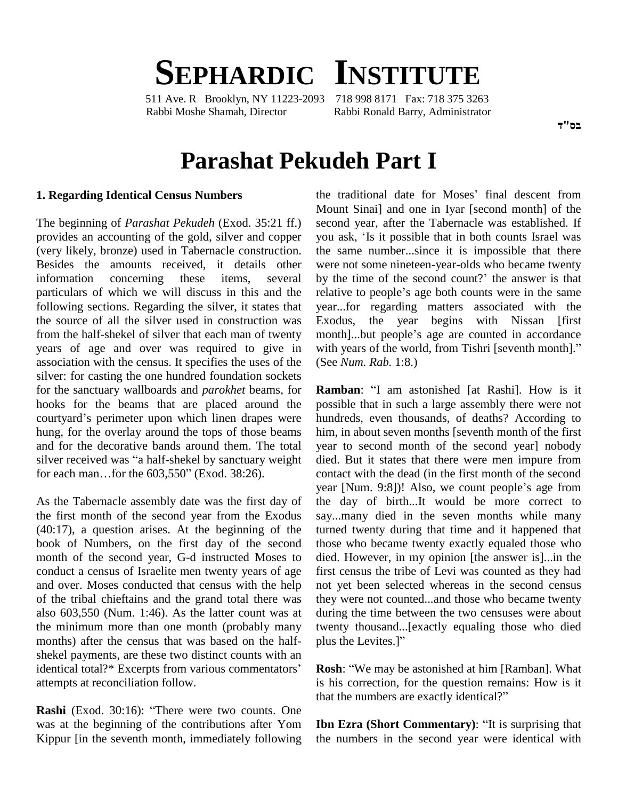# **SEPHARDIC INSTITUTE**

511 Ave. R Brooklyn, NY 11223-2093 718 998 8171 Fax: 718 375 3263 Rabbi Moshe Shamah, Director Rabbi Ronald Barry, Administrator

## **Parashat Pekudeh Part I**

#### **1. Regarding Identical Census Numbers**

The beginning of *Parashat Pekudeh* (Exod. 35:21 ff.) provides an accounting of the gold, silver and copper you ask, 'Is it possible that in both counts Israel was (very likely, bronze) used in Tabernacle construction. Besides the amounts received, it details other information concerning these items, several by the time of the second count? the answer is that particulars of which we will discuss in this and the relative to people's age both counts were in the same following sections. Regarding the silver, it states that the source of all the silver used in construction was from the half-shekel of silver that each man of twenty month...but people's age are counted in accordance years of age and over was required to give in with years of the world, from Tishri [seventh month]." association with the census. It specifies the uses of the silver: for casting the one hundred foundation sockets for the sanctuary wallboards and *parokhet* beams, for hooks for the beams that are placed around the for the sanctuary wallboards and *parokhet* beams, for **Ram** hooks for the beams that are placed around the possicourtyard's perimeter upon which linen drapes were hund hung, for the overlay around the tops of those beams him,<br>and for the decorative bands around them. The total year<br>silver received was "a half-shekel by sanctuary weight died and for the decorative bands around them. The total yes<br>silver received was "a half-shekel by sanctuary weight di<br>for each man...for the 603,550" (Exod. 38:26). co

As the Tabernacle assembly date was the first day of the first month of the second year from the Exodus (40:17), a question arises. At the beginning of the book of Numbers, on the first day of the second month of the second year, G-d instructed Moses to conduct a census of Israelite men twenty years of age and over. Moses conducted that census with the help of the tribal chieftains and the grand total there was also 603,550 (Num. 1:46). As the latter count was at the minimum more than one month (probably many months) after the census that was based on the half-<br>plus the Levites.]" shekel payments, are these two distinct counts with an identical total?\* Excerpts from various commentators' attempts at reconciliation follow.

**Rashi** (Exod. 30:16): "There were two counts. One that the numbers are exactly identical?" was at the beginning of the contributions after Yom Kippur [in the seventh month, immediately following

the traditional date for Moses' final descent from Mount Sinai] and one in Iyar [second month] of the second year, after the Tabernacle was established. If Mount Sinai] and one in Iyar [second month] of the<br>second year, after the Tabernacle was established. If<br>you ask, 'Is it possible that in both counts Israel was the same number...since it is impossible that there were not some nineteen-year-olds who became twenty by the time of the second count?' the answer is that were not some nineteen-year-olds who became twenty<br>by the time of the second count?' the answer is that<br>relative to people's age both counts were in the same year...for regarding matters associated with the Exodus, the year begins with Nissan [first year...for regarding matters associated with the Exodus, the year begins with Nissan [first month]...but people's age are counted in accordance Exodus, the year begins with Nissan [first month]...but people's age are counted in accordance with years of the world, from Tishri [seventh month]." (See *Num. Rab.* 1:8.)

**Ramban**: "I am astonished [at Rashi]. How is it possible that in such a large assembly there were not hundreds, even thousands, of deaths? According to him, in about seven months [seventh month of the first year to second month of the second year] nobody died. But it states that there were men impure from contact with the dead (in the first month of the second year [Num. 9:8])! Also, we count people's age from the day of birth...It would be more correct to say...many died in the seven months while many turned twenty during that time and it happened that those who became twenty exactly equaled those who died. However, in my opinion [the answer is]...in the first census the tribe of Levi was counted as they had not yet been selected whereas in the second census they were not counted...and those who became twenty during the time between the two censuses were about twenty thousand...[exactly equaling those who died during the time between the<br>twenty thousand...[exactly<br>plus the Levites.]" plus the Levites.]"<br>**Rosh**: "We may be astonished at him [Ramban]. What

is his correction, for the question remains: How is it **Rosh:** "We may be astonished at him [Ramban] is his correction, for the question remains: Ho that the numbers are exactly identical?"

**Ibn Ezra** (Short Commentary): "It is surprising that the numbers in the second year were identical with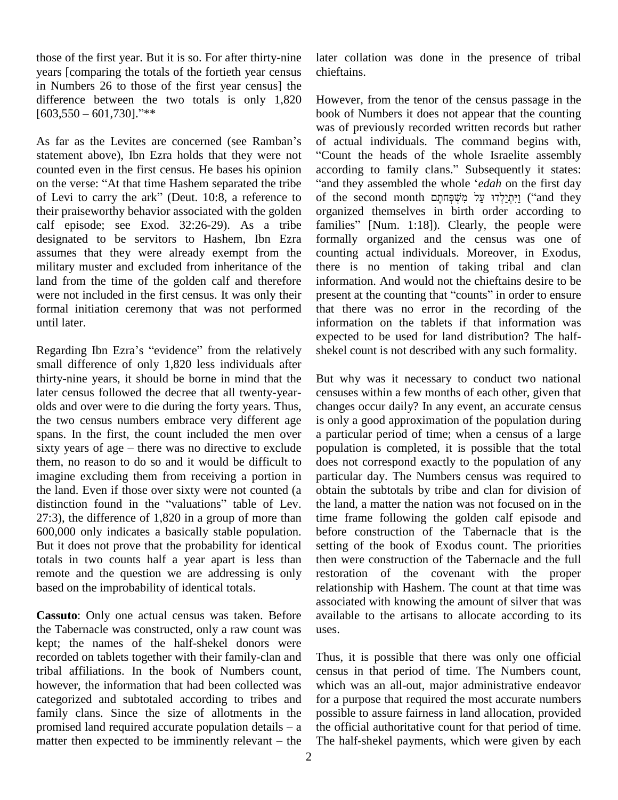those of the first year. But it is so. For after thirty-nine years [comparing the totals of the fortieth year census in Numbers 26 to those of the first year census] the<br>difference between the two totals is only 1,820 Howe<br>[603,550 – 601,730].<sup>?\*\*</sup> difference between the two totals is only 1,820  $[603,550 - 601,730]$ ."\*\*<br>As far as the Levites are concerned (see Ramban's

statement above), Ibn Ezra holds that they were not counted even in the first census. He bases his opinion on the verse: "At that time Hashem separated the tribe "and they assembled the whole 'edah on the first day of Levi to carry the ark" (Deut. 10:8, a reference to of the second month וַיִּתְיַלְדוּ עַל מְשָׁפָּחתָם ("and they their praiseworthy behavior associated with the golden calf episode; see Exod. 32:26-29). As a tribe families" [Num. 1:18]). Clearly, the people were designated to be servitors to Hashem, Ibn Ezra assumes that they were already exempt from the military muster and excluded from inheritance of the land from the time of the golden calf and therefore were not included in the first census. It was only their present at the counting that "counts" in order to ensure formal initiation ceremony that was not performed until later.

Regarding Ibn Ezra's "evidence" from the relatively small difference of only 1,820 less individuals after thirty-nine years, it should be borne in mind that the later census followed the decree that all twenty-year olds and over were to die during the forty years. Thus, the two census numbers embrace very different age spans. In the first, the count included the men over sixty years of age  $-$  there was no directive to exclude them, no reason to do so and it would be difficult to imagine excluding them from receiving a portion in particutive land. Even if those over sixty were not counted (a obtain distinction found in the "valuations" table of Lev. the lare the land. Even if those over sixty were not counted (a 27:3), the difference of 1,820 in a group of more than 600,000 only indicates a basically stable population. But it does not prove that the probability for identical totals in two counts half a year apart is less than remote and the question we are addressing is only based on the improbability of identical totals.

**Cassuto**: Only one actual census was taken. Before the Tabernacle was constructed, only a raw count was kept; the names of the half-shekel donors were recorded on tablets together with their family-clan and tribal affiliations. In the book of Numbers count, however, the information that had been collected was categorized and subtotaled according to tribes and family clans. Since the size of allotments in the categorized and subtotaled according to tribes and for a family clans. Since the size of allotments in the possi<br>promised land required accurate population details  $-$  a the o family clans. Since the size of allotments in the possi<br>promised land required accurate population details  $-a$  the o<br>matter then expected to be imminently relevant  $-a$  the The l

later collation was done in the presence of tribal chieftains.

However, from the tenor of the census passage in the book of Numbers it does not appear that the counting was of previously recorded written records but rather of actual individuals. The command begins with, Count the heads of the whole Israelite assembly of actual individuals. The command begins with,<br>"Count the heads of the whole Israelite assembly<br>according to family clans." Subsequently it states: Count the heads of the whole Israelite assembly<br>ccording to family clans." Subsequently it states:<br>and they assembled the whole *'edah* on the first day according to family clans." Subsequently it states:<br>"and they assembled the whole *'edah* on the first day<br>"וַיִּתְיַלְדוּ עַל מִשְׁפָּחִתְּם ('and they ) organized themselves in birth order according to of the second month וַיִּתְיַלְדוּ עַל מִשְׁפָּחתָם ("and they organized themselves in birth order according to<br>families" [Num. 1:18]). Clearly, the people were formally organized and the census was one of counting actual individuals. Moreover, in Exodus, there is no mention of taking tribal and clan information. And would not the chieftains desire to be present at the counting that "counts" in order to ensure information. And would not the chieftains desire to be that there was no error in the recording of the information on the tablets if that information was expected to be used for land distribution? The half shekel count is not described with any such formality.

But why was it necessary to conduct two national censuses within a few months of each other, given that changes occur daily? In any event, an accurate census is only a good approximation of the population during a particular period of time; when a census of a large population is completed, it is possible that the total does not correspond exactly to the population of any particular day. The Numbers census was required to obtain the subtotals by tribe and clan for division of the land, a matter the nation was not focused on in the time frame following the golden calf episode and before construction of the Tabernacle that is the setting of the book of Exodus count. The priorities then were construction of the Tabernacle and the full restoration of the covenant with the proper relationship with Hashem. The count at that time was associated with knowing the amount of silver that was available to the artisans to allocate according to its uses.

Thus, it is possible that there was only one official census in that period of time. The Numbers count, which was an all-out, major administrative endeavor for a purpose that required the most accurate numbers possible to assure fairness in land allocation, provided the official authoritative count for that period of time. The half-shekel payments, which were given by each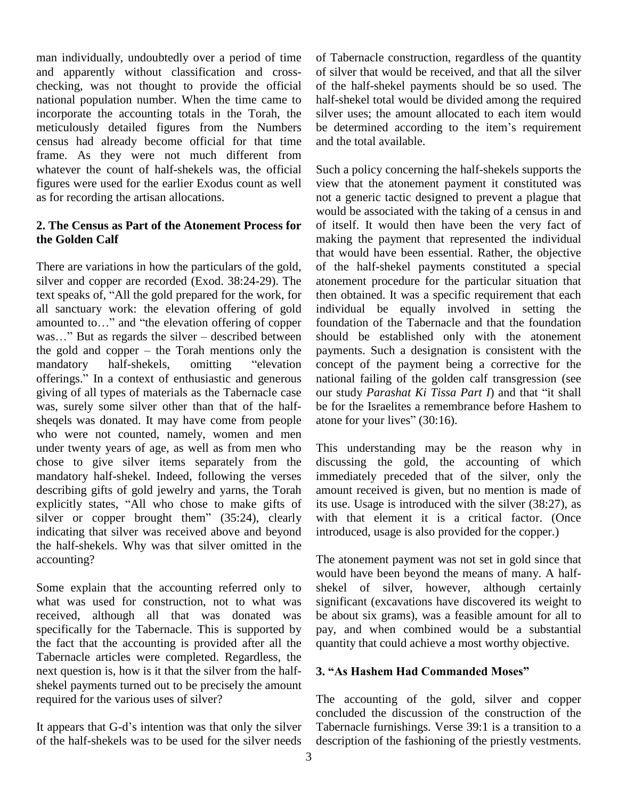man individually, undoubtedly over a period of time and apparently without classification and cross checking, was not thought to provide the official national population number. When the time came to incorporate the accounting totals in the Torah, the meticulously detailed figures from the Numbers census had already become official for that time frame. As they were not much different from whatever the count of half-shekels was, the official figures were used for the earlier Exodus count as well as for recording the artisan allocations.

#### **2. The Census as Part of the Atonement Process for the Golden Calf**

There are variations in how the particulars of the gold, silver and copper are recorded (Exod. 38:24-29). The There are variations in how the particulars of the gold, of silver and copper are recorded (Exod. 38:24-29). The ato text speaks of, "All the gold prepared for the work, for the all sanctuary work: the elevation offering of gold individed incounted to..." and "the elevation offering of copper found: was..." But as regards the silver – described between should text speaks of, "All the gold prepared for the work, for<br>all sanctuary work: the elevation offering of gold ind<br>amounted to..." and "the elevation offering of copper fou amounted to..." and "the elevation offering of copper found<br>was..." But as regards the silver – described between shoul<br>the gold and copper – the Torah mentions only the paym was..." But as regards the silver – described between should<br>the gold and copper – the Torah mentions only the payme<br>mandatory half-shekels, omitting "elevation concep mandatory half-shekels, omitting "elevation offerings." In a context of enthusiastic and generous giving of all types of materials as the Tabernacle case was, surely some silver other than that of the half sheqels was donated. It may have come from people atone for your lives" (30:16). who were not counted, namely, women and men under twenty years of age, as well as from men who chose to give silver items separately from the mandatory half-shekel. Indeed, following the verses describing gifts of gold jewelry and yarns, the Torah explicitly states, "All who chose to make gifts of silver or copper brought them"  $(35:24)$ , clearly indicating that silver was received above and beyond the half-shekels. Why was that silver omitted in the accounting?

Some explain that the accounting referred only to what was used for construction, not to what was received, although all that was donated was specifically for the Tabernacle. This is supported by the fact that the accounting is provided after all the Tabernacle articles were completed. Regardless, the next question is, how is it that the silver from the half-<br>3. "As Hashem Had Commanded Moses" shekel payments turned out to be precisely the amount required for the various uses of silver?

It appears that G-d's intention was that only the silver of the half-shekels was to be used for the silver needs of Tabernacle construction, regardless of the quantity of silver that would be received, and that all the silver of the half-shekel payments should be so used. The half-shekel total would be divided among the required silver uses; the amount allocated to each item would be determined according to the item's requirement and the total available.

Such a policy concerning the half-shekels supports the view that the atonement payment it constituted was not a generic tactic designed to prevent a plague that would be associated with the taking of a census in and of itself. It would then have been the very fact of making the payment that represented the individual that would have been essential. Rather, the objective of the half-shekel payments constituted a special atonement procedure for the particular situation that then obtained. It was a specific requirement that each individual be equally involved in setting the foundation of the Tabernacle and that the foundation should be established only with the atonement payments. Such a designation is consistent with the concept of the payment being a corrective for the national failing of the golden calf transgression (see concept of the payment being a corrective for the national failing of the golden calf transgression (see our study *Parashat Ki Tissa Part I*) and that "it shall be for the Israelites a remembrance before Hashem to our study Parashat Ki Tissa Part I) and that "it shall

This understanding may be the reason why in discussing the gold, the accounting of which immediately preceded that of the silver, only the amount received is given, but no mention is made of its use. Usage is introduced with the silver (38:27), as with that element it is a critical factor. (Once introduced, usage is also provided for the copper.)

The atonement payment was not set in gold since that would have been beyond the means of many. A half shekel of silver, however, although certainly significant (excavations have discovered its weight to be about six grams), was a feasible amount for all to pay, and when combined would be a substantial **3. "As Hashem Had Commanded Moses"** 

The accounting of the gold, silver and copper concluded the discussion of the construction of the Tabernacle furnishings. Verse 39:1 is a transition to a description of the fashioning of the priestly vestments.